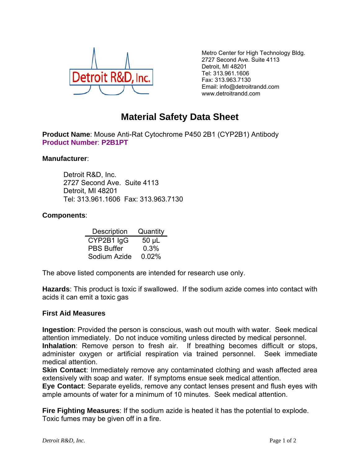

Metro Center for High Technology Bldg. 2727 Second Ave. Suite 4113 Detroit, MI 48201 Tel: 313.961.1606 Fax: 313.963.7130 Email: info@detroitrandd.com www.detroitrandd.com

## **Material Safety Data Sheet**

**Product Name**: Mouse Anti-Rat Cytochrome P450 2B1 (CYP2B1) Antibody **Product Number**: **P2B1PT**

## **Manufacturer**:

 Detroit R&D, Inc. 2727 Second Ave. Suite 4113 Detroit, MI 48201 Tel: 313.961.1606 Fax: 313.963.7130

## **Components**:

| Description       | Quantity |
|-------------------|----------|
| CYP2B1 IgG        | 50 µL    |
| <b>PBS Buffer</b> | 0.3%     |
| Sodium Azide      | 0.02%    |

The above listed components are intended for research use only.

**Hazards**: This product is toxic if swallowed. If the sodium azide comes into contact with acids it can emit a toxic gas

## **First Aid Measures**

**Ingestion**: Provided the person is conscious, wash out mouth with water. Seek medical attention immediately. Do not induce vomiting unless directed by medical personnel. **Inhalation**: Remove person to fresh air. If breathing becomes difficult or stops, administer oxygen or artificial respiration via trained personnel. Seek immediate medical attention.

**Skin Contact:** Immediately remove any contaminated clothing and wash affected area extensively with soap and water. If symptoms ensue seek medical attention.

**Eye Contact**: Separate eyelids, remove any contact lenses present and flush eyes with ample amounts of water for a minimum of 10 minutes. Seek medical attention.

**Fire Fighting Measures**: If the sodium azide is heated it has the potential to explode. Toxic fumes may be given off in a fire.